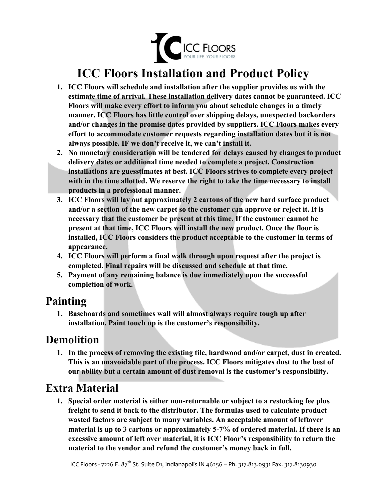

# **ICC Floors Installation and Product Policy**

- **1. ICC Floors will schedule and installation after the supplier provides us with the estimate time of arrival. These installation delivery dates cannot be guaranteed. ICC Floors will make every effort to inform you about schedule changes in a timely manner. ICC Floors has little control over shipping delays, unexpected backorders and/or changes in the promise dates provided by suppliers. ICC Floors makes every effort to accommodate customer requests regarding installation dates but it is not always possible. IF we don't receive it, we can't install it.**
- **2. No monetary consideration will be tendered for delays caused by changes to product delivery dates or additional time needed to complete a project. Construction installations are guesstimates at best. ICC Floors strives to complete every project with in the time allotted. We reserve the right to take the time necessary to install products in a professional manner.**
- **3. ICC Floors will lay out approximately 2 cartons of the new hard surface product and/or a section of the new carpet so the customer can approve or reject it. It is necessary that the customer be present at this time. If the customer cannot be present at that time, ICC Floors will install the new product. Once the floor is installed, ICC Floors considers the product acceptable to the customer in terms of appearance.**
- **4. ICC Floors will perform a final walk through upon request after the project is completed. Final repairs will be discussed and schedule at that time.**
- **5. Payment of any remaining balance is due immediately upon the successful completion of work.**

### **Painting**

**1. Baseboards and sometimes wall will almost always require tough up after installation. Paint touch up is the customer's responsibility.**

### **Demolition**

**1. In the process of removing the existing tile, hardwood and/or carpet, dust in created. This is an unavoidable part of the process. ICC Floors mitigates dust to the best of our ability but a certain amount of dust removal is the customer's responsibility.**

### **Extra Material**

**1. Special order material is either non-returnable or subject to a restocking fee plus freight to send it back to the distributor. The formulas used to calculate product wasted factors are subject to many variables. An acceptable amount of leftover material is up to 3 cartons or approximately 5-7% of ordered material. If there is an excessive amount of left over material, it is ICC Floor's responsibility to return the material to the vendor and refund the customer's money back in full.**